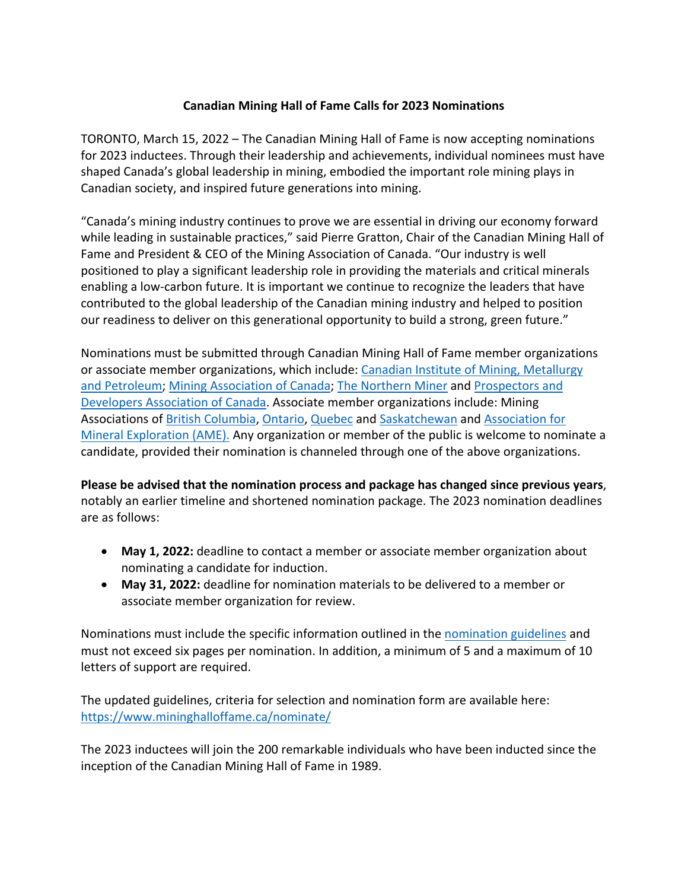## **Canadian Mining Hall of Fame Calls for 2023 Nominations**

TORONTO, March 15, 2022 – The Canadian Mining Hall of Fame is now accepting nominations for 2023 inductees. Through their leadership and achievements, individual nominees must have shaped Canada's global leadership in mining, embodied the important role mining plays in Canadian society, and inspired future generations into mining.

"Canada's mining industry continues to prove we are essential in driving our economy forward while leading in sustainable practices," said Pierre Gratton, Chair of the Canadian Mining Hall of Fame and President & CEO of the Mining Association of Canada. "Our industry is well positioned to play a significant leadership role in providing the materials and critical minerals enabling a low-carbon future. It is important we continue to recognize the leaders that have contributed to the global leadership of the Canadian mining industry and helped to position our readiness to deliver on this generational opportunity to build a strong, green future."

Nominations must be submitted through Canadian Mining Hall of Fame member organizations or associate member organizations, which include: Canadian Institute of Mining, Metallurgy and Petroleum; Mining Association of Canada; The Northern Miner and Prospectors and Developers Association of Canada. Associate member organizations include: Mining Associations of British Columbia, Ontario, Quebec and Saskatchewan and Association for Mineral Exploration (AME). Any organization or member of the public is welcome to nominate a candidate, provided their nomination is channeled through one of the above organizations.

**Please be advised that the nomination process and package has changed since previous years**, notably an earlier timeline and shortened nomination package. The 2023 nomination deadlines are as follows:

- **May 1, 2022:** deadline to contact a member or associate member organization about nominating a candidate for induction.
- **May 31, 2022:** deadline for nomination materials to be delivered to a member or associate member organization for review.

Nominations must include the specific information outlined in the nomination guidelines and must not exceed six pages per nomination. In addition, a minimum of 5 and a maximum of 10 letters of support are required.

The updated guidelines, criteria for selection and nomination form are available here: https://www.mininghalloffame.ca/nominate/

The 2023 inductees will join the 200 remarkable individuals who have been inducted since the inception of the Canadian Mining Hall of Fame in 1989.